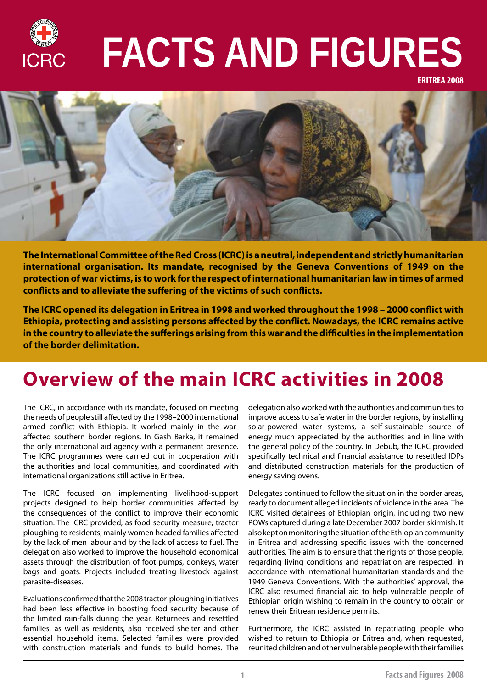

# **FACTS AND FIGURES**

**ERITREA 2008**



**The International Committee of the Red Cross (ICRC) is a neutral, independent and strictly humanitarian international organisation. Its mandate, recognised by the Geneva Conventions of 1949 on the protection of war victims, is to work for the respect of international humanitarian law in times of armed conflicts and to alleviate the suffering of the victims of such conflicts.** 

**The ICRC opened its delegation in Eritrea in 1998 and worked throughout the 1998 – 2000 conflict with Ethiopia, protecting and assisting persons affected by the conflict. Nowadays, the ICRC remains active in the country to alleviate the sufferings arising from this war and the difficulties in the implementation of the border delimitation.**

# **Overview of the main ICRC activities in 2008**

The ICRC, in accordance with its mandate, focused on meeting the needs of people still affected by the 1998–2000 international armed conflict with Ethiopia. It worked mainly in the waraffected southern border regions. In Gash Barka, it remained the only international aid agency with a permanent presence. The ICRC programmes were carried out in cooperation with the authorities and local communities, and coordinated with international organizations still active in Eritrea.

The ICRC focused on implementing livelihood-support projects designed to help border communities affected by the consequences of the conflict to improve their economic situation. The ICRC provided, as food security measure, tractor ploughing to residents, mainly women headed families affected by the lack of men labour and by the lack of access to fuel. The delegation also worked to improve the household economical assets through the distribution of foot pumps, donkeys, water bags and goats. Projects included treating livestock against parasite-diseases.

Evaluations confirmed that the 2008 tractor-ploughing initiatives had been less effective in boosting food security because of the limited rain-falls during the year. Returnees and resettled families, as well as residents, also received shelter and other essential household items. Selected families were provided with construction materials and funds to build homes. The

delegation also worked with the authorities and communities to improve access to safe water in the border regions, by installing solar-powered water systems, a self-sustainable source of energy much appreciated by the authorities and in line with the general policy of the country. In Debub, the ICRC provided specifically technical and financial assistance to resettled IDPs and distributed construction materials for the production of energy saving ovens.

Delegates continued to follow the situation in the border areas, ready to document alleged incidents of violence in the area. The ICRC visited detainees of Ethiopian origin, including two new POWs captured during a late December 2007 border skirmish. It also kept on monitoring the situation of the Ethiopian community in Eritrea and addressing specific issues with the concerned authorities. The aim is to ensure that the rights of those people, regarding living conditions and repatriation are respected, in accordance with international humanitarian standards and the 1949 Geneva Conventions. With the authorities' approval, the ICRC also resumed financial aid to help vulnerable people of Ethiopian origin wishing to remain in the country to obtain or renew their Eritrean residence permits.

Furthermore, the ICRC assisted in repatriating people who wished to return to Ethiopia or Eritrea and, when requested, reunited children and other vulnerable people with their families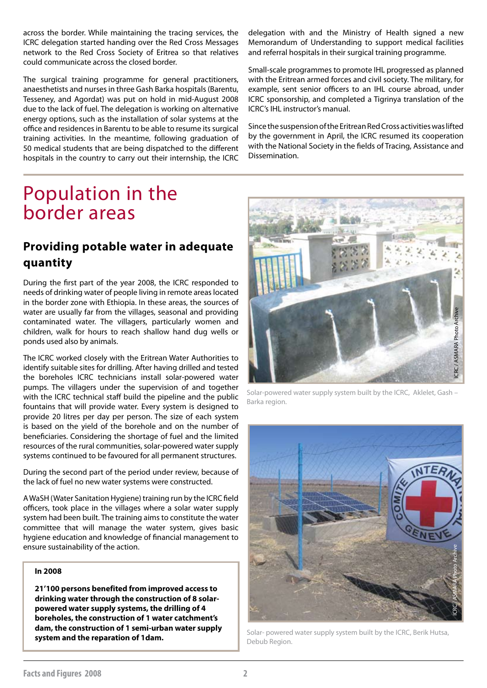across the border. While maintaining the tracing services, the ICRC delegation started handing over the Red Cross Messages network to the Red Cross Society of Eritrea so that relatives could communicate across the closed border.

The surgical training programme for general practitioners, anaesthetists and nurses in three Gash Barka hospitals (Barentu, Tesseney, and Agordat) was put on hold in mid-August 2008 due to the lack of fuel. The delegation is working on alternative energy options, such as the installation of solar systems at the office and residences in Barentu to be able to resume its surgical training activities. In the meantime, following graduation of 50 medical students that are being dispatched to the different hospitals in the country to carry out their internship, the ICRC

delegation with and the Ministry of Health signed a new Memorandum of Understanding to support medical facilities and referral hospitals in their surgical training programme.

Small-scale programmes to promote IHL progressed as planned with the Eritrean armed forces and civil society. The military, for example, sent senior officers to an IHL course abroad, under ICRC sponsorship, and completed a Tigrinya translation of the ICRC's IHL instructor's manual.

Since the suspension of the Eritrean Red Cross activities was lifted by the government in April, the ICRC resumed its cooperation with the National Society in the fields of Tracing, Assistance and Dissemination.

# Population in the border areas

# **Providing potable water in adequate quantity**

During the first part of the year 2008, the ICRC responded to needs of drinking water of people living in remote areas located in the border zone with Ethiopia. In these areas, the sources of water are usually far from the villages, seasonal and providing contaminated water. The villagers, particularly women and children, walk for hours to reach shallow hand dug wells or ponds used also by animals.

The ICRC worked closely with the Eritrean Water Authorities to identify suitable sites for drilling. After having drilled and tested the boreholes ICRC technicians install solar-powered water pumps. The villagers under the supervision of and together with the ICRC technical staff build the pipeline and the public fountains that will provide water. Every system is designed to provide 20 litres per day per person. The size of each system is based on the yield of the borehole and on the number of beneficiaries. Considering the shortage of fuel and the limited resources of the rural communities, solar-powered water supply systems continued to be favoured for all permanent structures.

During the second part of the period under review, because of the lack of fuel no new water systems were constructed.

A WaSH (Water Sanitation Hygiene) training run by the ICRC field officers, took place in the villages where a solar water supply system had been built. The training aims to constitute the water committee that will manage the water system, gives basic hygiene education and knowledge of financial management to ensure sustainability of the action.

#### **In 2008**

**21'100 persons benefited from improved access to drinking water through the construction of 8 solarpowered water supply systems, the drilling of 4 boreholes, the construction of 1 water catchment's dam, the construction of 1 semi-urban water supply system and the reparation of 1dam.**



Solar-powered water supply system built by the ICRC, Aklelet, Gash – Barka region.



Solar- powered water supply system built by the ICRC, Berik Hutsa, Debub Region.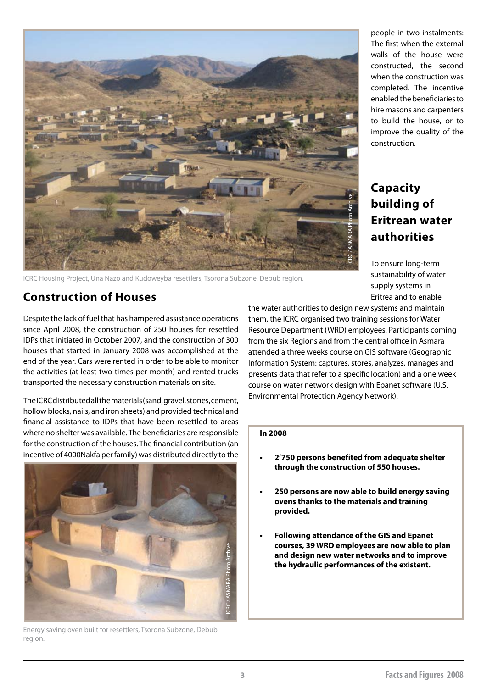

ICRC Housing Project, Una Nazo and Kudoweyba resettlers, Tsorona Subzone, Debub region.

### **Construction of Houses**

Despite the lack of fuel that has hampered assistance operations since April 2008, the construction of 250 houses for resettled IDPs that initiated in October 2007, and the construction of 300 houses that started in January 2008 was accomplished at the end of the year. Cars were rented in order to be able to monitor the activities (at least two times per month) and rented trucks transported the necessary construction materials on site.

The ICRC distributed all the materials (sand, gravel, stones, cement, hollow blocks, nails, and iron sheets) and provided technical and financial assistance to IDPs that have been resettled to areas where no shelter was available. The beneficiaries are responsible for the construction of the houses. The financial contribution (an incentive of 4000Nakfa per family) was distributed directly to the



Energy saving oven built for resettlers, Tsorona Subzone, Debub region.

people in two instalments: The first when the external walls of the house were constructed, the second when the construction was completed. The incentive enabled the beneficiaries to hire masons and carpenters to build the house, or to improve the quality of the construction.

# **Capacity building of Eritrean water authorities**

To ensure long-term sustainability of water supply systems in Eritrea and to enable

the water authorities to design new systems and maintain them, the ICRC organised two training sessions for Water Resource Department (WRD) employees. Participants coming from the six Regions and from the central office in Asmara attended a three weeks course on GIS software (Geographic Information System: captures, stores, analyzes, manages and presents data that refer to a specific location) and a one week course on water network design with Epanet software (U.S. Environmental Protection Agency Network).

#### **In 2008**

- **• 2'750 persons benefited from adequate shelter through the construction of 550 houses.**
- **• 250 persons are now able to build energy saving ovens thanks to the materials and training provided.**
- **Following attendance of the GIS and Epanet courses, 39 WRD employees are now able to plan and design new water networks and to improve the hydraulic performances of the existent.**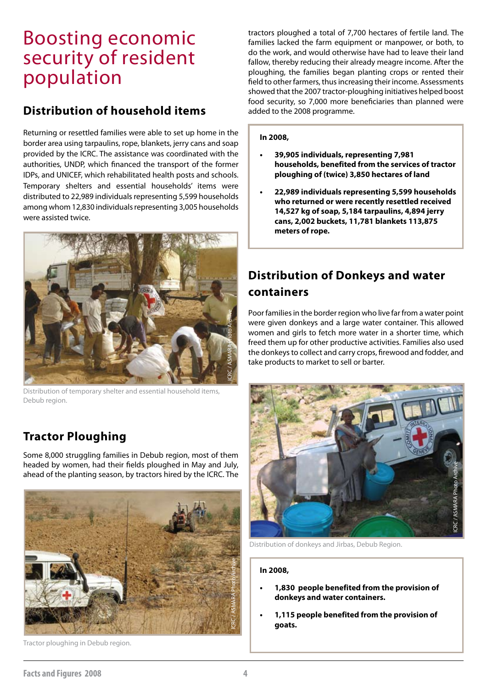# Boosting economic security of resident population

### **Distribution of household items**

Returning or resettled families were able to set up home in the border area using tarpaulins, rope, blankets, jerry cans and soap provided by the ICRC. The assistance was coordinated with the authorities, UNDP, which financed the transport of the former IDPs, and UNICEF, which rehabilitated health posts and schools. Temporary shelters and essential households' items were distributed to 22,989 individuals representing 5,599 households among whom 12,830 individuals representing 3,005 households were assisted twice.



Distribution of temporary shelter and essential household items, Debub region.

# **Tractor Ploughing**

Some 8,000 struggling families in Debub region, most of them headed by women, had their fields ploughed in May and July, ahead of the planting season, by tractors hired by the ICRC. The



Tractor ploughing in Debub region.

tractors ploughed a total of 7,700 hectares of fertile land. The families lacked the farm equipment or manpower, or both, to do the work, and would otherwise have had to leave their land fallow, thereby reducing their already meagre income. After the ploughing, the families began planting crops or rented their field to other farmers, thus increasing their income. Assessments showed that the 2007 tractor-ploughing initiatives helped boost food security, so 7,000 more beneficiaries than planned were added to the 2008 programme.

#### **In 2008,**

l

- **• 39,905 individuals, representing 7,981 households, benefited from the services of tractor ploughing of (twice) 3,850 hectares of land**
- **• 22,989 individuals representing 5,599 households who returned or were recently resettled received 14,527 kg of soap, 5,184 tarpaulins, 4,894 jerry cans, 2,002 buckets, 11,781 blankets 113,875 meters of rope.**

# **Distribution of Donkeys and water containers**

Poor families in the border region who live far from a water point were given donkeys and a large water container. This allowed women and girls to fetch more water in a shorter time, which freed them up for other productive activities. Families also used the donkeys to collect and carry crops, firewood and fodder, and take products to market to sell or barter.



Distribution of donkeys and Jirbas, Debub Region.

#### **In 2008,**

- **• 1,830 people benefited from the provision of donkeys and water containers.**
- **• 1,115 people benefited from the provision of goats.**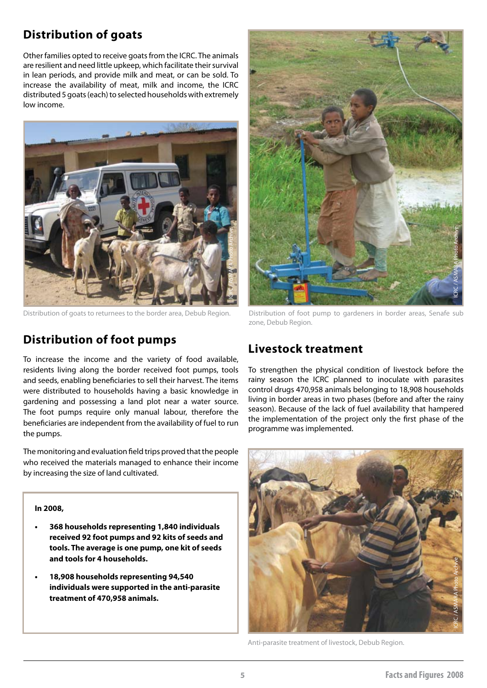# **Distribution of goats**

Other families opted to receive goats from the ICRC. The animals are resilient and need little upkeep, which facilitate their survival in lean periods, and provide milk and meat, or can be sold. To increase the availability of meat, milk and income, the ICRC distributed 5 goats (each) to selected households with extremely low income.



# **Distribution of foot pumps**

To increase the income and the variety of food available, residents living along the border received foot pumps, tools and seeds, enabling beneficiaries to sell their harvest. The items were distributed to households having a basic knowledge in gardening and possessing a land plot near a water source. The foot pumps require only manual labour, therefore the beneficiaries are independent from the availability of fuel to run the pumps.

The monitoring and evaluation field trips proved that the people who received the materials managed to enhance their income by increasing the size of land cultivated.

#### **In 2008,**

- **• 368 households representing 1,840 individuals received 92 foot pumps and 92 kits of seeds and tools. The average is one pump, one kit of seeds and tools for 4 households.**
- **• 18,908 households representing 94,540 individuals were supported in the anti-parasite treatment of 470,958 animals.**



Distribution of foot pump to gardeners in border areas, Senafe sub zone, Debub Region.

# **Livestock treatment**

To strengthen the physical condition of livestock before the rainy season the ICRC planned to inoculate with parasites control drugs 470,958 animals belonging to 18,908 households living in border areas in two phases (before and after the rainy season). Because of the lack of fuel availability that hampered the implementation of the project only the first phase of the programme was implemented.



Anti-parasite treatment of livestock, Debub Region.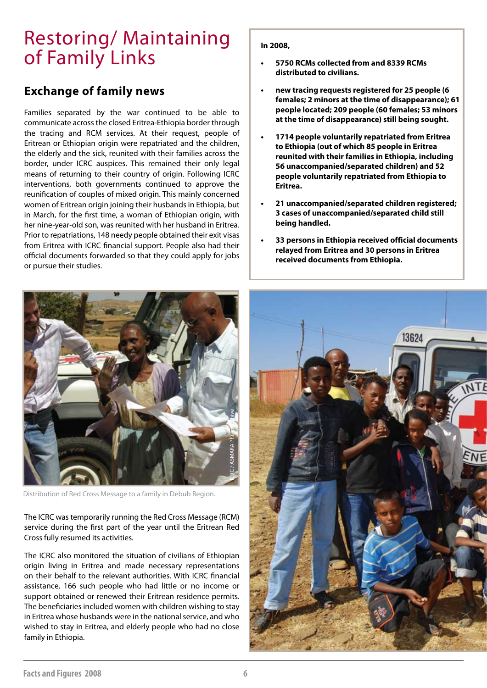# Restoring/ Maintaining of Family Links

### **Exchange of family news**

Families separated by the war continued to be able to communicate across the closed Eritrea-Ethiopia border through the tracing and RCM services. At their request, people of Eritrean or Ethiopian origin were repatriated and the children, the elderly and the sick, reunited with their families across the border, under ICRC auspices. This remained their only legal means of returning to their country of origin. Following ICRC interventions, both governments continued to approve the reunification of couples of mixed origin. This mainly concerned women of Eritrean origin joining their husbands in Ethiopia, but in March, for the first time, a woman of Ethiopian origin, with her nine-year-old son, was reunited with her husband in Eritrea. Prior to repatriations, 148 needy people obtained their exit visas from Eritrea with ICRC financial support. People also had their official documents forwarded so that they could apply for jobs or pursue their studies.



Distribution of Red Cross Message to a family in Debub Region.

The ICRC was temporarily running the Red Cross Message (RCM) service during the first part of the year until the Eritrean Red Cross fully resumed its activities.

The ICRC also monitored the situation of civilians of Ethiopian origin living in Eritrea and made necessary representations on their behalf to the relevant authorities. With ICRC financial assistance, 166 such people who had little or no income or support obtained or renewed their Eritrean residence permits. The beneficiaries included women with children wishing to stay in Eritrea whose husbands were in the national service, and who wished to stay in Eritrea, and elderly people who had no close family in Ethiopia.

#### **In 2008,**

- **• 5750 RCMs collected from and 8339 RCMs distributed to civilians.**
- **• new tracing requests registered for 25 people (6 females; 2 minors at the time of disappearance); 61 people located; 209 people (60 females; 53 minors at the time of disappearance) still being sought.**
- **• 1714 people voluntarily repatriated from Eritrea to Ethiopia (out of which 85 people in Eritrea reunited with their families in Ethiopia, including 56 unaccompanied/separated children) and 52 people voluntarily repatriated from Ethiopia to Eritrea.**
- **• 21 unaccompanied/separated children registered; 3 cases of unaccompanied/separated child still being handled.**
- **• 33 persons in Ethiopia received official documents relayed from Eritrea and 30 persons in Eritrea received documents from Ethiopia.**

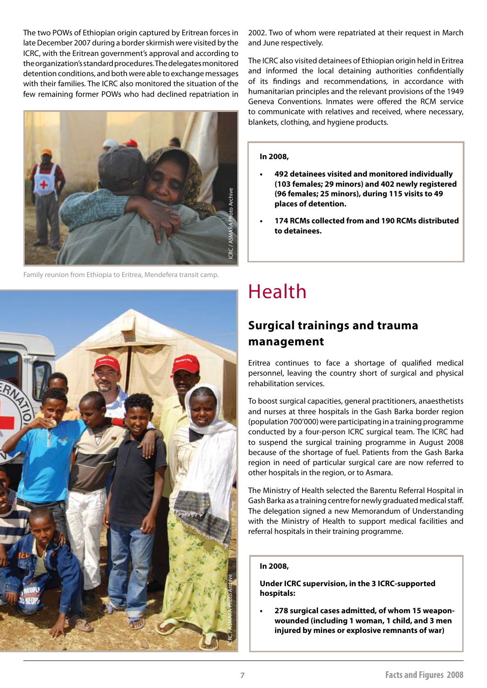The two POWs of Ethiopian origin captured by Eritrean forces in late December 2007 during a border skirmish were visited by the ICRC, with the Eritrean government's approval and according to the organization's standard procedures. The delegates monitored detention conditions, and both were able to exchange messages with their families. The ICRC also monitored the situation of the few remaining former POWs who had declined repatriation in



Family reunion from Ethiopia to Eritrea, Mendefera transit camp.



2002. Two of whom were repatriated at their request in March and June respectively.

The ICRC also visited detainees of Ethiopian origin held in Eritrea and informed the local detaining authorities confidentially of its findings and recommendations, in accordance with humanitarian principles and the relevant provisions of the 1949 Geneva Conventions. Inmates were offered the RCM service to communicate with relatives and received, where necessary, blankets, clothing, and hygiene products.

#### **In 2008,**

- **• 492 detainees visited and monitored individually (103 females; 29 minors) and 402 newly registered (96 females; 25 minors), during 115 visits to 49 places of detention.**
- **• 174 RCMs collected from and 190 RCMs distributed to detainees.**

# Health

# **Surgical trainings and trauma management**

Eritrea continues to face a shortage of qualified medical personnel, leaving the country short of surgical and physical rehabilitation services.

To boost surgical capacities, general practitioners, anaesthetists and nurses at three hospitals in the Gash Barka border region (population 700'000) were participating in a training programme conducted by a four-person ICRC surgical team. The ICRC had to suspend the surgical training programme in August 2008 because of the shortage of fuel. Patients from the Gash Barka region in need of particular surgical care are now referred to other hospitals in the region, or to Asmara.

The Ministry of Health selected the Barentu Referral Hospital in Gash Barka as a training centre for newly graduated medical staff. The delegation signed a new Memorandum of Understanding with the Ministry of Health to support medical facilities and referral hospitals in their training programme.

#### **In 2008,**

**Under ICRC supervision, in the 3 ICRC-supported hospitals:**

278 surgical cases admitted, of whom 15 weapon**wounded (including 1 woman, 1 child, and 3 men injured by mines or explosive remnants of war)**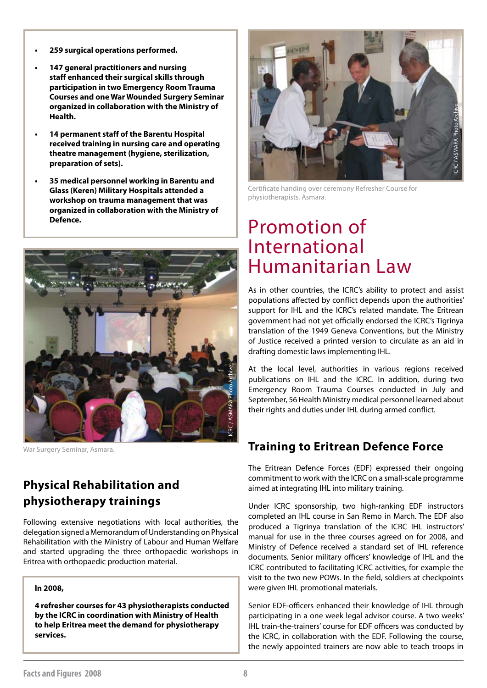- **• 259 surgical operations performed.**
- **• 147 general practitioners and nursing staff enhanced their surgical skills through participation in two Emergency Room Trauma Courses and one War Wounded Surgery Seminar organized in collaboration with the Ministry of Health.**
- **14 permanent staff of the Barentu Hospital received training in nursing care and operating theatre management (hygiene, sterilization, preparation of sets).**
- **35 medical personnel working in Barentu and Glass (Keren) Military Hospitals attended a workshop on trauma management that was organized in collaboration with the Ministry of Defence.**



War Surgery Seminar, Asmara.

# **Physical Rehabilitation and physiotherapy trainings**

Following extensive negotiations with local authorities, the delegation signed a Memorandum of Understanding on Physical Rehabilitation with the Ministry of Labour and Human Welfare and started upgrading the three orthopaedic workshops in Eritrea with orthopaedic production material.

#### **In 2008,**

**4 refresher courses for 43 physiotherapists conducted by the ICRC in coordination with Ministry of Health to help Eritrea meet the demand for physiotherapy services.**



Certificate handing over ceremony Refresher Course for physiotherapists, Asmara.

# Promotion of International Humanitarian Law

As in other countries, the ICRC's ability to protect and assist populations affected by conflict depends upon the authorities' support for IHL and the ICRC's related mandate. The Eritrean government had not yet officially endorsed the ICRC's Tigrinya translation of the 1949 Geneva Conventions, but the Ministry of Justice received a printed version to circulate as an aid in drafting domestic laws implementing IHL.

At the local level, authorities in various regions received publications on IHL and the ICRC. In addition, during two Emergency Room Trauma Courses conducted in July and September, 56 Health Ministry medical personnel learned about their rights and duties under IHL during armed conflict.

### **Training to Eritrean Defence Force**

The Eritrean Defence Forces (EDF) expressed their ongoing commitment to work with the ICRC on a small-scale programme aimed at integrating IHL into military training.

Under ICRC sponsorship, two high-ranking EDF instructors completed an IHL course in San Remo in March. The EDF also produced a Tigrinya translation of the ICRC IHL instructors' manual for use in the three courses agreed on for 2008, and Ministry of Defence received a standard set of IHL reference documents. Senior military officers' knowledge of IHL and the ICRC contributed to facilitating ICRC activities, for example the visit to the two new POWs. In the field, soldiers at checkpoints were given IHL promotional materials.

Senior EDF-officers enhanced their knowledge of IHL through participating in a one week legal advisor course. A two weeks' IHL train-the-trainers' course for EDF officers was conducted by the ICRC, in collaboration with the EDF. Following the course, the newly appointed trainers are now able to teach troops in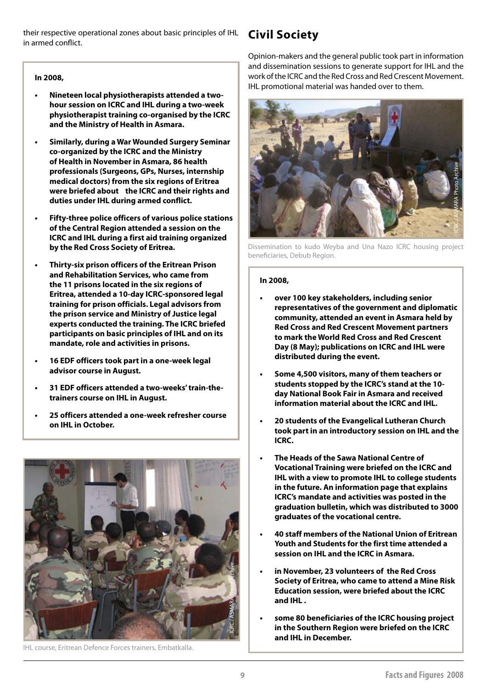their respective operational zones about basic principles of IHL **Civil Society** in armed conflict.

#### **In 2008,**

- **Nineteen local physiotherapists attended a twohour session on ICRC and IHL during a two-week physiotherapist training co-organised by the ICRC and the Ministry of Health in Asmara.**
- **Similarly, during a War Wounded Surgery Seminar co-organized by the ICRC and the Ministry of Health in November in Asmara, 86 health professionals (Surgeons, GPs, Nurses, internship medical doctors) from the six regions of Eritrea were briefed about the ICRC and their rights and duties under IHL during armed conflict.**
- **Fifty-three police officers of various police stations of the Central Region attended a session on the ICRC and IHL during a first aid training organized by the Red Cross Society of Eritrea.**
- **• Thirty-six prison officers of the Eritrean Prison and Rehabilitation Services, who came from the 11 prisons located in the six regions of Eritrea, attended a 10-day ICRC-sponsored legal training for prison officials. Legal advisors from the prison service and Ministry of Justice legal experts conducted the training. The ICRC briefed participants on basic principles of IHL and on its mandate, role and activities in prisons.**
- **• 16 EDF officers took part in a one-week legal advisor course in August.**
- **• 31 EDF officers attended a two-weeks' train-thetrainers course on IHL in August.**
- **• 25 officers attended a one-week refresher course on IHL in October.**



IHL course, Eritrean Defence Forces trainers, Embatkalla.

Opinion-makers and the general public took part in information and dissemination sessions to generate support for IHL and the work of the ICRC and the Red Cross and Red Crescent Movement. IHL promotional material was handed over to them.



Dissemination to kudo Weyba and Una Nazo ICRC housing project beneficiaries, Debub Region.

#### **In 2008,**

- **• over 100 key stakeholders, including senior representatives of the government and diplomatic community, attended an event in Asmara held by Red Cross and Red Crescent Movement partners to mark the World Red Cross and Red Crescent Day (8 May); publications on ICRC and IHL were distributed during the event.**
- Some 4,500 visitors, many of them teachers or **students stopped by the ICRC's stand at the 10 day National Book Fair in Asmara and received information material about the ICRC and IHL.**
- **• 20 students of the Evangelical Lutheran Church took part in an introductory session on IHL and the ICRC.**
- **The Heads of the Sawa National Centre of Vocational Training were briefed on the ICRC and IHL with a view to promote IHL to college students in the future. An information page that explains ICRC's mandate and activities was posted in the graduation bulletin, which was distributed to 3000 graduates of the vocational centre.**
- **• 40 staff members of the National Union of Eritrean Youth and Students for the first time attended a session on IHL and the ICRC in Asmara.**
- **in November, 23 volunteers of the Red Cross Society of Eritrea, who came to attend a Mine Risk Education session, were briefed about the ICRC and IHL .**
- **• some 80 beneficiaries of the ICRC housing project in the Southern Region were briefed on the ICRC and IHL in December.**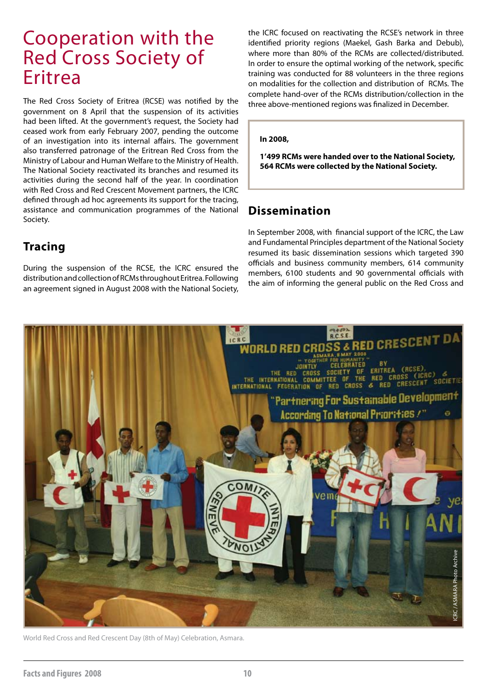# Cooperation with the Red Cross Society of Eritrea

The Red Cross Society of Eritrea (RCSE) was notified by the government on 8 April that the suspension of its activities had been lifted. At the government's request, the Society had ceased work from early February 2007, pending the outcome of an investigation into its internal affairs. The government also transferred patronage of the Eritrean Red Cross from the Ministry of Labour and Human Welfare to the Ministry of Health. The National Society reactivated its branches and resumed its activities during the second half of the year. In coordination with Red Cross and Red Crescent Movement partners, the ICRC defined through ad hoc agreements its support for the tracing, assistance and communication programmes of the National Society.

# **Tracing**

During the suspension of the RCSE, the ICRC ensured the distribution and collection of RCMs throughout Eritrea. Following an agreement signed in August 2008 with the National Society, the ICRC focused on reactivating the RCSE's network in three identified priority regions (Maekel, Gash Barka and Debub), where more than 80% of the RCMs are collected/distributed. In order to ensure the optimal working of the network, specific training was conducted for 88 volunteers in the three regions on modalities for the collection and distribution of RCMs. The complete hand-over of the RCMs distribution/collection in the three above-mentioned regions was finalized in December.

#### **In 2008,**

**1'499 RCMs were handed over to the National Society, 564 RCMs were collected by the National Society.**

### **Dissemination**

In September 2008, with financial support of the ICRC, the Law and Fundamental Principles department of the National Society resumed its basic dissemination sessions which targeted 390 officials and business community members, 614 community members, 6100 students and 90 governmental officials with the aim of informing the general public on the Red Cross and



World Red Cross and Red Crescent Day (8th of May) Celebration, Asmara.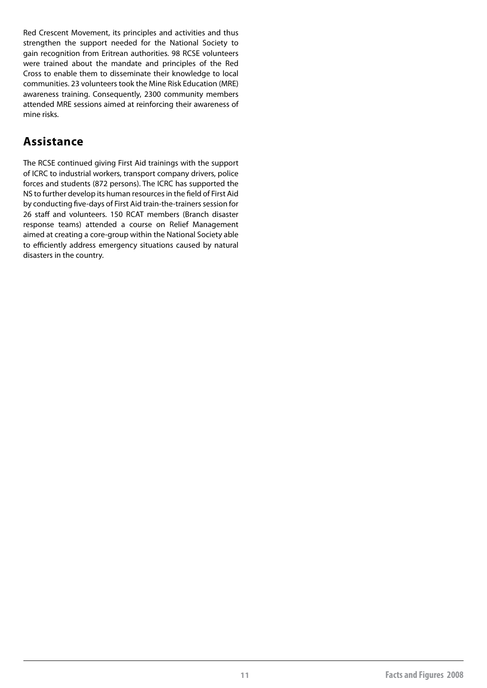Red Crescent Movement, its principles and activities and thus strengthen the support needed for the National Society to gain recognition from Eritrean authorities. 98 RCSE volunteers were trained about the mandate and principles of the Red Cross to enable them to disseminate their knowledge to local communities. 23 volunteers took the Mine Risk Education (MRE) awareness training. Consequently, 2300 community members attended MRE sessions aimed at reinforcing their awareness of mine risks.

### **Assistance**

The RCSE continued giving First Aid trainings with the support of ICRC to industrial workers, transport company drivers, police forces and students (872 persons). The ICRC has supported the NS to further develop its human resources in the field of First Aid by conducting five-days of First Aid train-the-trainers session for 26 staff and volunteers. 150 RCAT members (Branch disaster response teams) attended a course on Relief Management aimed at creating a core-group within the National Society able to efficiently address emergency situations caused by natural disasters in the country.